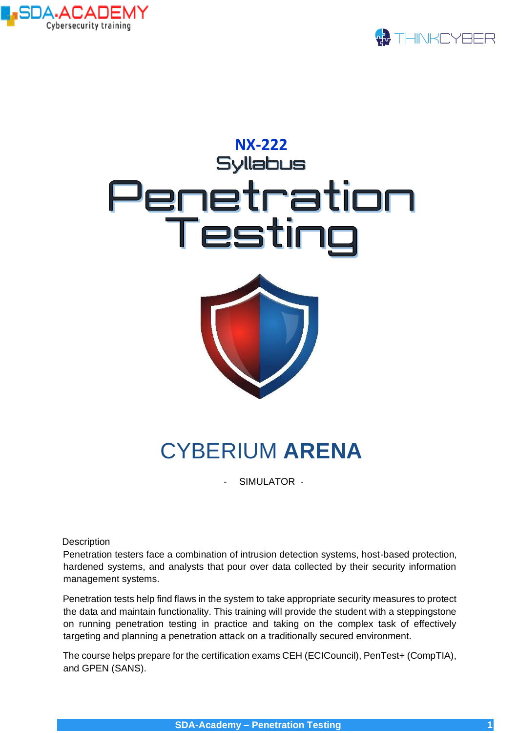



# **NX-222<br>Syllabus** Penetration *Testir*

# CYBERIUM **ARENA**

- SIMULATOR -

**Description** 

Penetration testers face a combination of intrusion detection systems, host-based protection, hardened systems, and analysts that pour over data collected by their security information management systems.

Penetration tests help find flaws in the system to take appropriate security measures to protect the data and maintain functionality. This training will provide the student with a steppingstone on running penetration testing in practice and taking on the complex task of effectively targeting and planning a penetration attack on a traditionally secured environment.

The course helps prepare for the certification exams CEH (ECICouncil), PenTest+ (CompTIA), and GPEN (SANS).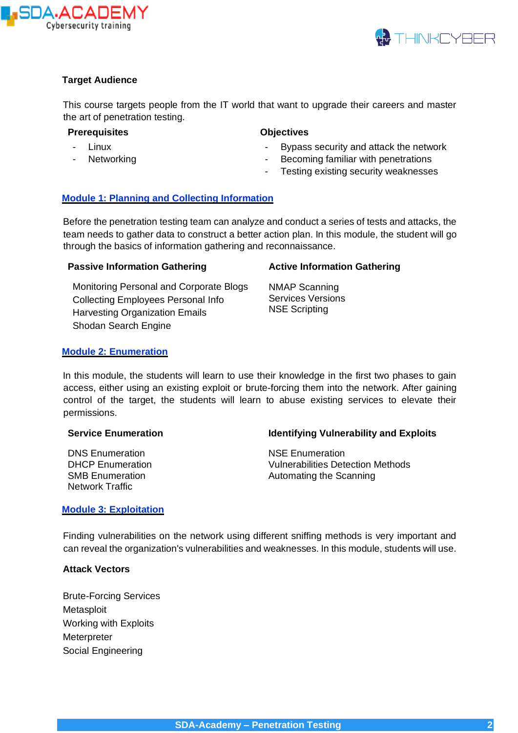



# **Target Audience**

This course targets people from the IT world that want to upgrade their careers and master the art of penetration testing.

- **Prerequisites**
	- **Linux**
	- **Networking**
- **Objectives**
	- Bypass security and attack the network
- Becoming familiar with penetrations
- Testing existing security weaknesses

# **Module 1: Planning and Collecting Information**

Before the penetration testing team can analyze and conduct a series of tests and attacks, the team needs to gather data to construct a better action plan. In this module, the student will go through the basics of information gathering and reconnaissance.

# **Passive Information Gathering**

Monitoring Personal and Corporate Blogs Collecting Employees Personal Info Harvesting Organization Emails Shodan Search Engine

# **Active Information Gathering**

NMAP Scanning Services Versions NSE Scripting

#### **Module 2: Enumeration**

In this module, the students will learn to use their knowledge in the first two phases to gain access, either using an existing exploit or brute-forcing them into the network. After gaining control of the target, the students will learn to abuse existing services to elevate their permissions.

# **Service Enumeration**

DNS Enumeration DHCP Enumeration SMB Enumeration Network Traffic

#### **Identifying Vulnerability and Exploits**

NSE Enumeration Vulnerabilities Detection Methods Automating the Scanning

#### **Module 3: Exploitation**

Finding vulnerabilities on the network using different sniffing methods is very important and can reveal the organization's vulnerabilities and weaknesses. In this module, students will use.

### **Attack Vectors**

Brute-Forcing Services **Metasploit** Working with Exploits **Meterpreter** Social Engineering